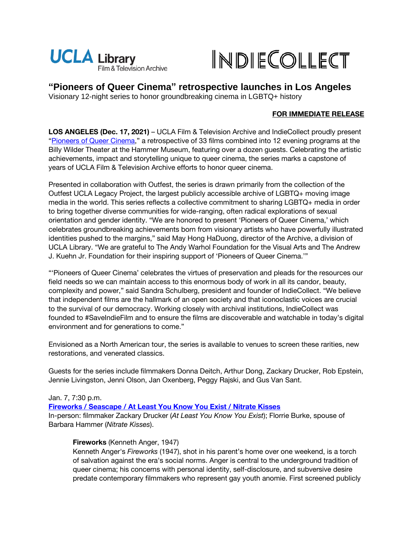



**"Pioneers of Queer Cinema" retrospective launches in Los Angeles** 

Visionary 12-night series to honor groundbreaking cinema in LGBTQ+ history

# **FOR IMMEDIATE RELEASE**

**LOS ANGELES (Dec. 17, 2021)** – UCLA Film & Television Archive and IndieCollect proudly present "[Pioneers of Queer Cinema](https://www.cinema.ucla.edu/events/2022/pioneers-of-queer-cinema)," a retrospective of 33 films combined into 12 evening programs at the Billy Wilder Theater at the Hammer Museum, featuring over a dozen guests. Celebrating the artistic achievements, impact and storytelling unique to queer cinema, the series marks a capstone of years of UCLA Film & Television Archive efforts to honor queer cinema.

Presented in collaboration with Outfest, the series is drawn primarily from the collection of the Outfest UCLA Legacy Project, the largest publicly accessible archive of LGBTQ+ moving image media in the world. This series reflects a collective commitment to sharing LGBTQ+ media in order to bring together diverse communities for wide-ranging, often radical explorations of sexual orientation and gender identity. "We are honored to present 'Pioneers of Queer Cinema,' which celebrates groundbreaking achievements born from visionary artists who have powerfully illustrated identities pushed to the margins," said May Hong HaDuong, director of the Archive, a division of UCLA Library. "We are grateful to The Andy Warhol Foundation for the Visual Arts and The Andrew J. Kuehn Jr. Foundation for their inspiring support of 'Pioneers of Queer Cinema.'"

"'Pioneers of Queer Cinema' celebrates the virtues of preservation and pleads for the resources our field needs so we can maintain access to this enormous body of work in all its candor, beauty, complexity and power," said Sandra Schulberg, president and founder of IndieCollect. "We believe that independent films are the hallmark of an open society and that iconoclastic voices are crucial to the survival of our democracy. Working closely with archival institutions, IndieCollect was founded to #SaveIndieFilm and to ensure the films are discoverable and watchable in today's digital environment and for generations to come."

Envisioned as a North American tour, the series is available to venues to screen these rarities, new restorations, and venerated classics.

Guests for the series include filmmakers Donna Deitch, Arthur Dong, Zackary Drucker, Rob Epstein, Jennie Livingston, Jenni Olson, Jan Oxenberg, Peggy Rajski, and Gus Van Sant.

# Jan. 7, 7:30 p.m.

**[Fireworks / Seascape / At Least You Know You Exist / Nitrate Kisses](https://www.cinema.ucla.edu/events/2022/01/07/fireworks-seascape-at-least-you-know)**

In-person: filmmaker Zackary Drucker (*At Least You Know You Exist*); Florrie Burke, spouse of Barbara Hammer (*Nitrate Kisses*).

# **Fireworks** (Kenneth Anger, 1947)

Kenneth Anger's *Fireworks* (1947), shot in his parent's home over one weekend, is a torch of salvation against the era's social norms. Anger is central to the underground tradition of queer cinema; his concerns with personal identity, self-disclosure, and subversive desire predate contemporary filmmakers who represent gay youth anomie. First screened publicly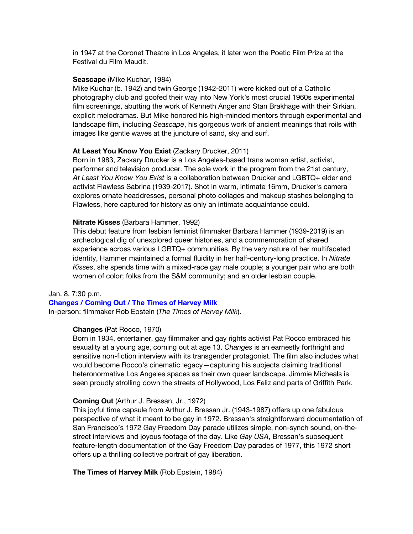in 1947 at the Coronet Theatre in Los Angeles, it later won the Poetic Film Prize at the Festival du Film Maudit.

#### **Seascape** (Mike Kuchar, 1984)

Mike Kuchar (b. 1942) and twin George (1942-2011) were kicked out of a Catholic photography club and goofed their way into New York's most crucial 1960s experimental film screenings, abutting the work of Kenneth Anger and Stan Brakhage with their Sirkian, explicit melodramas. But Mike honored his high-minded mentors through experimental and landscape film, including *Seascape*, his gorgeous work of ancient meanings that roils with images like gentle waves at the juncture of sand, sky and surf.

#### **At Least You Know You Exist** (Zackary Drucker, 2011)

Born in 1983, Zackary Drucker is a Los Angeles-based trans woman artist, activist, performer and television producer. The sole work in the program from the 21st century, *At Least You Know You Exist* is a collaboration between Drucker and LGBTQ+ elder and activist Flawless Sabrina (1939-2017). Shot in warm, intimate 16mm, Drucker's camera explores ornate headdresses, personal photo collages and makeup stashes belonging to Flawless, here captured for history as only an intimate acquaintance could.

#### **Nitrate Kisses** (Barbara Hammer, 1992)

This debut feature from lesbian feminist filmmaker Barbara Hammer (1939-2019) is an archeological dig of unexplored queer histories, and a commemoration of shared experience across various LGBTQ+ communities. By the very nature of her multifaceted identity, Hammer maintained a formal fluidity in her half-century-long practice. In *Nitrate Kisses*, she spends time with a mixed-race gay male couple; a younger pair who are both women of color; folks from the S&M community; and an older lesbian couple.

#### Jan. 8, 7:30 p.m.

**[Changes / Coming Out / The Times of Harvey Milk](https://www.cinema.ucla.edu/events/2022/01/08/changes-coming-out-harvey-milk)**

In-person: filmmaker Rob Epstein (*The Times of Harvey Milk*).

# **Changes** (Pat Rocco, 1970)

Born in 1934, entertainer, gay filmmaker and gay rights activist Pat Rocco embraced his sexuality at a young age, coming out at age 13. *Changes* is an earnestly forthright and sensitive non-fiction interview with its transgender protagonist. The film also includes what would become Rocco's cinematic legacy—capturing his subjects claiming traditional heteronormative Los Angeles spaces as their own queer landscape. Jimmie Micheals is seen proudly strolling down the streets of Hollywood, Los Feliz and parts of Griffith Park.

#### **Coming Out** (Arthur J. Bressan, Jr., 1972)

This joyful time capsule from Arthur J. Bressan Jr. (1943-1987) offers up one fabulous perspective of what it meant to be gay in 1972. Bressan's straightforward documentation of San Francisco's 1972 Gay Freedom Day parade utilizes simple, non-synch sound, on-thestreet interviews and joyous footage of the day. Like *Gay USA*, Bressan's subsequent feature-length documentation of the Gay Freedom Day parades of 1977, this 1972 short offers up a thrilling collective portrait of gay liberation.

#### **The Times of Harvey Milk** (Rob Epstein, 1984)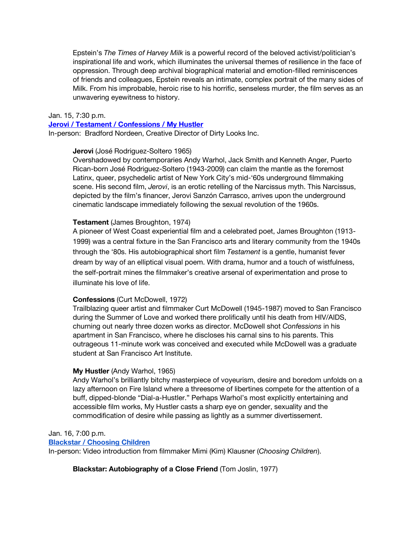Epstein's *The Times of Harvey Milk* is a powerful record of the beloved activist/politician's inspirational life and work, which illuminates the universal themes of resilience in the face of oppression. Through deep archival biographical material and emotion-filled reminiscences of friends and colleagues, Epstein reveals an intimate, complex portrait of the many sides of Milk. From his improbable, heroic rise to his horrific, senseless murder, the film serves as an unwavering eyewitness to history.

#### Jan. 15, 7:30 p.m.

#### **[Jerovi / Testament / Confessions / My Hustler](https://www.cinema.ucla.edu/events/2022/01/15/jerovi-testament-confessions-hustler)**

In-person: Bradford Nordeen, Creative Director of Dirty Looks Inc.

#### **Jerovi** (José Rodriguez-Soltero 1965)

Overshadowed by contemporaries Andy Warhol, Jack Smith and Kenneth Anger, Puerto Rican-born José Rodriguez-Soltero (1943-2009) can claim the mantle as the foremost Latinx, queer, psychedelic artist of New York City's mid-'60s underground filmmaking scene. His second film, *Jerovi*, is an erotic retelling of the Narcissus myth. This Narcissus, depicted by the film's financer, Jerovi Sanzón Carrasco, arrives upon the underground cinematic landscape immediately following the sexual revolution of the 1960s.

#### **Testament** (James Broughton, 1974)

A pioneer of West Coast experiential film and a celebrated poet, James Broughton (1913- 1999) was a central fixture in the San Francisco arts and literary community from the 1940s through the '80s. His autobiographical short film *Testament* is a gentle, humanist fever dream by way of an elliptical visual poem. With drama, humor and a touch of wistfulness, the self-portrait mines the filmmaker's creative arsenal of experimentation and prose to illuminate his love of life.

### **Confessions** (Curt McDowell, 1972)

Trailblazing queer artist and filmmaker Curt McDowell (1945-1987) moved to San Francisco during the Summer of Love and worked there prolifically until his death from HIV/AIDS, churning out nearly three dozen works as director. McDowell shot *Confessions* in his apartment in San Francisco, where he discloses his carnal sins to his parents. This outrageous 11-minute work was conceived and executed while McDowell was a graduate student at San Francisco Art Institute.

### **My Hustler** (Andy Warhol, 1965)

Andy Warhol's brilliantly bitchy masterpiece of voyeurism, desire and boredom unfolds on a lazy afternoon on Fire Island where a threesome of libertines compete for the attention of a buff, dipped-blonde "Dial-a-Hustler." Perhaps Warhol's most explicitly entertaining and accessible film works, My Hustler casts a sharp eye on gender, sexuality and the commodification of desire while passing as lightly as a summer divertissement.

### Jan. 16, 7:00 p.m.

### **[Blackstar / Choosing Children](https://www.cinema.ucla.edu/events/2022/01/16/blackstar-choosing-children)**

In-person: Video introduction from filmmaker Mimi (Kim) Klausner (*Choosing Children*).

**Blackstar: Autobiography of a Close Friend** (Tom Joslin, 1977)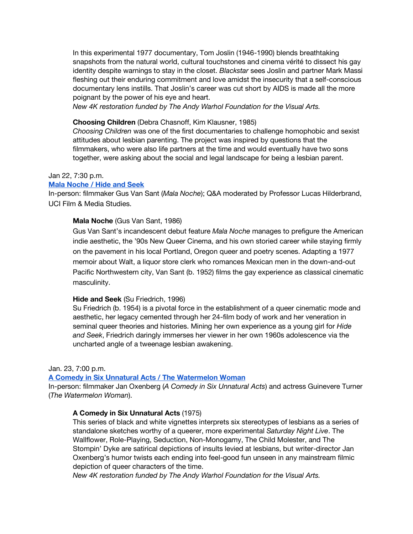In this experimental 1977 documentary, Tom Joslin (1946-1990) blends breathtaking snapshots from the natural world, cultural touchstones and cinema vérité to dissect his gay identity despite warnings to stay in the closet. *Blackstar* sees Joslin and partner Mark Massi fleshing out their enduring commitment and love amidst the insecurity that a self-conscious documentary lens instills. That Joslin's career was cut short by AIDS is made all the more poignant by the power of his eye and heart.

*New 4K restoration funded by The Andy Warhol Foundation for the Visual Arts.*

# **Choosing Children** (Debra Chasnoff, Kim Klausner, 1985)

*Choosing Children* was one of the first documentaries to challenge homophobic and sexist attitudes about lesbian parenting. The project was inspired by questions that the filmmakers, who were also life partners at the time and would eventually have two sons together, were asking about the social and legal landscape for being a lesbian parent.

### Jan 22, 7:30 p.m.

### **[Mala Noche / Hide and Seek](https://www.cinema.ucla.edu/events/2022/01/22/mala-noche-hide-seek)**

In-person: filmmaker Gus Van Sant (*Mala Noche*); Q&A moderated by Professor Lucas Hilderbrand, UCI Film & Media Studies.

### **Mala Noche** (Gus Van Sant, 1986)

Gus Van Sant's incandescent debut feature *Mala Noche* manages to prefigure the American indie aesthetic, the '90s New Queer Cinema, and his own storied career while staying firmly on the pavement in his local Portland, Oregon queer and poetry scenes. Adapting a 1977 memoir about Walt, a liquor store clerk who romances Mexican men in the down-and-out Pacific Northwestern city, Van Sant (b. 1952) films the gay experience as classical cinematic masculinity.

#### **Hide and Seek** (Su Friedrich, 1996)

Su Friedrich (b. 1954) is a pivotal force in the establishment of a queer cinematic mode and aesthetic, her legacy cemented through her 24-film body of work and her veneration in seminal queer theories and histories. Mining her own experience as a young girl for *Hide and Seek*, Friedrich daringly immerses her viewer in her own 1960s adolescence via the uncharted angle of a tweenage lesbian awakening.

# Jan. 23, 7:00 p.m.

#### **[A Comedy in Six Unnatural Acts / The Watermelon Woman](https://www.cinema.ucla.edu/events/2022/01/23/comedy-six-unnatural-acts-watermelon-woman)**

In-person: filmmaker Jan Oxenberg (*A Comedy in Six Unnatural Acts*) and actress Guinevere Turner (*The Watermelon Woman*).

# **A Comedy in Six Unnatural Acts** (1975)

This series of black and white vignettes interprets six stereotypes of lesbians as a series of standalone sketches worthy of a queerer, more experimental *Saturday Night Live*. The Wallflower, Role-Playing, Seduction, Non-Monogamy, The Child Molester, and The Stompin' Dyke are satirical depictions of insults levied at lesbians, but writer-director Jan Oxenberg's humor twists each ending into feel-good fun unseen in any mainstream filmic depiction of queer characters of the time.

*New 4K restoration funded by The Andy Warhol Foundation for the Visual Arts.*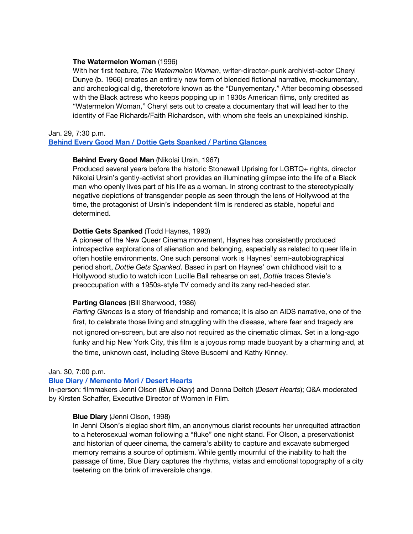### **The Watermelon Woman** (1996)

With her first feature, *The Watermelon Woman*, writer-director-punk archivist-actor Cheryl Dunye (b. 1966) creates an entirely new form of blended fictional narrative, mockumentary, and archeological dig, theretofore known as the "Dunyementary." After becoming obsessed with the Black actress who keeps popping up in 1930s American films, only credited as "Watermelon Woman," Cheryl sets out to create a documentary that will lead her to the identity of Fae Richards/Faith Richardson, with whom she feels an unexplained kinship.

#### Jan. 29, 7:30 p.m.

# **[Behind Every Good Man / Dottie Gets Spanked / Parting Glances](https://www.cinema.ucla.edu/events/2022/01/29/behind-every-good-man-dottie-gets-spanked-parting-glances)**

# **Behind Every Good Man** (Nikolai Ursin, 1967)

Produced several years before the historic Stonewall Uprising for LGBTQ+ rights, director Nikolai Ursin's gently-activist short provides an illuminating glimpse into the life of a Black man who openly lives part of his life as a woman. In strong contrast to the stereotypically negative depictions of transgender people as seen through the lens of Hollywood at the time, the protagonist of Ursin's independent film is rendered as stable, hopeful and determined.

# **Dottie Gets Spanked** (Todd Haynes, 1993)

A pioneer of the New Queer Cinema movement, Haynes has consistently produced introspective explorations of alienation and belonging, especially as related to queer life in often hostile environments. One such personal work is Haynes' semi-autobiographical period short, *Dottie Gets Spanked*. Based in part on Haynes' own childhood visit to a Hollywood studio to watch icon Lucille Ball rehearse on set, *Dottie* traces Stevie's preoccupation with a 1950s-style TV comedy and its zany red-headed star.

# **Parting Glances** (Bill Sherwood, 1986)

*Parting Glances* is a story of friendship and romance; it is also an AIDS narrative, one of the first, to celebrate those living and struggling with the disease, where fear and tragedy are not ignored on-screen, but are also not required as the cinematic climax. Set in a long-ago funky and hip New York City, this film is a joyous romp made buoyant by a charming and, at the time, unknown cast, including Steve Buscemi and Kathy Kinney.

#### Jan. 30, 7:00 p.m.

# **[Blue Diary / Memento Mori / Desert Hearts](https://www.cinema.ucla.edu/events/2022/01/30/blue-diary-memento-mori-desert-hearts)**

In-person: filmmakers Jenni Olson (*Blue Diary*) and Donna Deitch (*Desert Hearts*); Q&A moderated by Kirsten Schaffer, Executive Director of Women in Film.

# **Blue Diary** (Jenni Olson, 1998)

In Jenni Olson's elegiac short film, an anonymous diarist recounts her unrequited attraction to a heterosexual woman following a "fluke" one night stand. For Olson, a preservationist and historian of queer cinema, the camera's ability to capture and excavate submerged memory remains a source of optimism. While gently mournful of the inability to halt the passage of time, Blue Diary captures the rhythms, vistas and emotional topography of a city teetering on the brink of irreversible change.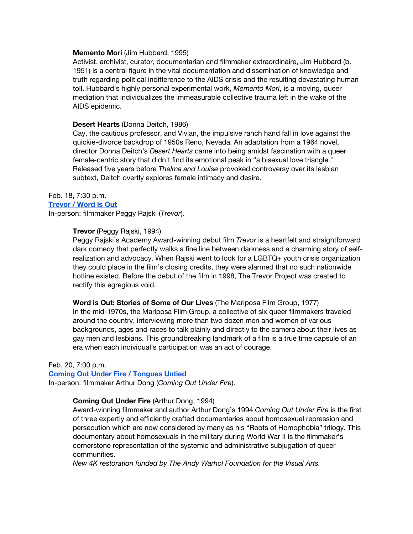#### **Memento Mori** (Jim Hubbard, 1995)

Activist, archivist, curator, documentarian and filmmaker extraordinaire, Jim Hubbard (b. 1951) is a central figure in the vital documentation and dissemination of knowledge and truth regarding political indifference to the AIDS crisis and the resulting devastating human toll. Hubbard's highly personal experimental work, *Memento Mori*, is a moving, queer mediation that individualizes the immeasurable collective trauma left in the wake of the AIDS epidemic.

### **Desert Hearts** (Donna Deitch, 1986)

Cay, the cautious professor, and Vivian, the impulsive ranch hand fall in love against the quickie-divorce backdrop of 1950s Reno, Nevada. An adaptation from a 1964 novel, director Donna Deitch's *Desert Hearts* came into being amidst fascination with a queer female-centric story that didn't find its emotional peak in "a bisexual love triangle." Released five years before *Thelma and Louise* provoked controversy over its lesbian subtext, Deitch overtly explores female intimacy and desire.

#### Feb. 18, 7:30 p.m.

#### **[Trevor / Word is Out](https://www.cinema.ucla.edu/events/2022/02/18/trevor-word-is-out)**

In-person: filmmaker Peggy Rajski (*Trevor*).

### **Trevor** (Peggy Rajski, 1994)

Peggy Rajski's Academy Award-winning debut film *Trevor* is a heartfelt and straightforward dark comedy that perfectly walks a fine line between darkness and a charming story of selfrealization and advocacy. When Rajski went to look for a LGBTQ+ youth crisis organization they could place in the film's closing credits, they were alarmed that no such nationwide hotline existed. Before the debut of the film in 1998, The Trevor Project was created to rectify this egregious void.

**Word is Out: Stories of Some of Our Lives** (The Mariposa Film Group, 1977) In the mid-1970s, the Mariposa Film Group, a collective of six queer filmmakers traveled around the country, interviewing more than two dozen men and women of various backgrounds, ages and races to talk plainly and directly to the camera about their lives as gay men and lesbians. This groundbreaking landmark of a film is a true time capsule of an era when each individual's participation was an act of courage.

#### Feb. 20, 7:00 p.m.

#### **[Coming Out Under Fire / Tongues Untied](https://www.cinema.ucla.edu/events/2022/02/20/coming-out-under-fire-tongues-untied)**

In-person: filmmaker Arthur Dong (*Coming Out Under Fire*).

### **Coming Out Under Fire** (Arthur Dong, 1994)

Award-winning filmmaker and author Arthur Dong's 1994 *Coming Out Under Fire* is the first of three expertly and efficiently crafted documentaries about homosexual repression and persecution which are now considered by many as his "Roots of Homophobia" trilogy. This documentary about homosexuals in the military during World War II is the filmmaker's cornerstone representation of the systemic and administrative subjugation of queer communities.

*New 4K restoration funded by The Andy Warhol Foundation for the Visual Arts.*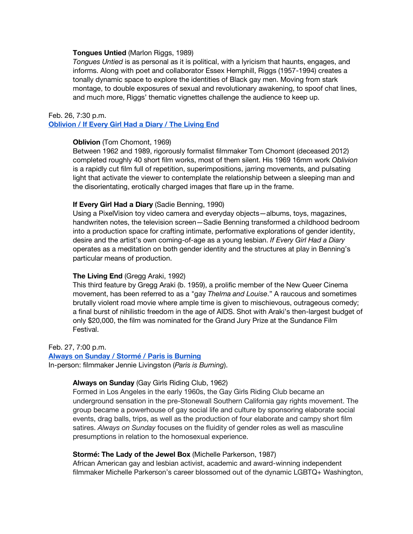#### **Tongues Untied** (Marlon Riggs, 1989)

*Tongues Untied* is as personal as it is political, with a lyricism that haunts, engages, and informs. Along with poet and collaborator Essex Hemphill, Riggs (1957-1994) creates a tonally dynamic space to explore the identities of Black gay men. Moving from stark montage, to double exposures of sexual and revolutionary awakening, to spoof chat lines, and much more, Riggs' thematic vignettes challenge the audience to keep up.

#### Feb. 26, 7:30 p.m.

### **[Oblivion / If Every Girl Had a Diary / The Living End](https://www.cinema.ucla.edu/events/2022/02/26/oblivion-every-girl-diary-living-end)**

#### **Oblivion** (Tom Chomont, 1969)

Between 1962 and 1989, rigorously formalist filmmaker Tom Chomont (deceased 2012) completed roughly 40 short film works, most of them silent. His 1969 16mm work *Oblivion* is a rapidly cut film full of repetition, superimpositions, jarring movements, and pulsating light that activate the viewer to contemplate the relationship between a sleeping man and the disorientating, erotically charged images that flare up in the frame.

#### **If Every Girl Had a Diary** (Sadie Benning, 1990)

Using a PixelVision toy video camera and everyday objects—albums, toys, magazines, handwriten notes, the television screen—Sadie Benning transformed a childhood bedroom into a production space for crafting intimate, performative explorations of gender identity, desire and the artist's own coming-of-age as a young lesbian. *If Every Girl Had a Diary* operates as a meditation on both gender identity and the structures at play in Benning's particular means of production.

#### **The Living End** (Gregg Araki, 1992)

This third feature by Gregg Araki (b. 1959), a prolific member of the New Queer Cinema movement, has been referred to as a "gay *Thelma and Louise*." A raucous and sometimes brutally violent road movie where ample time is given to mischievous, outrageous comedy; a final burst of nihilistic freedom in the age of AIDS. Shot with Araki's then-largest budget of only \$20,000, the film was nominated for the Grand Jury Prize at the Sundance Film Festival.

# Feb. 27, 7:00 p.m.

**[Always on Sunday / Stormé / Paris is Burning](https://www.cinema.ucla.edu/events/2022/02/27/always-sunday-storme-lady-jewel-box-paris-burning)**

In-person: filmmaker Jennie Livingston (*Paris is Burning*).

### **Always on Sunday** (Gay Girls Riding Club, 1962)

Formed in Los Angeles in the early 1960s, the Gay Girls Riding Club became an underground sensation in the pre-Stonewall Southern California gay rights movement. The group became a powerhouse of gay social life and culture by sponsoring elaborate social events, drag balls, trips, as well as the production of four elaborate and campy short film satires. *Always on Sunday* focuses on the fluidity of gender roles as well as masculine presumptions in relation to the homosexual experience.

#### **Stormé: The Lady of the Jewel Box** (Michelle Parkerson, 1987)

African American gay and lesbian activist, academic and award-winning independent filmmaker Michelle Parkerson's career blossomed out of the dynamic LGBTQ+ Washington,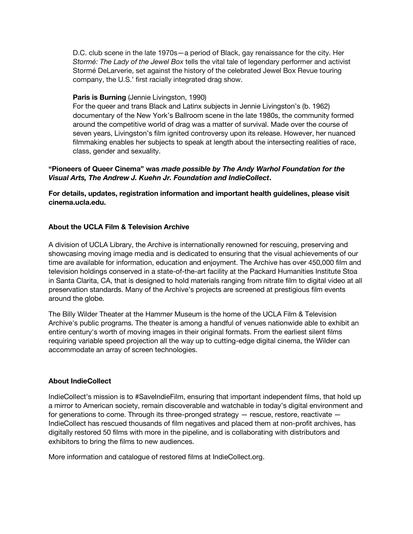D.C. club scene in the late 1970s—a period of Black, gay renaissance for the city. Her *Stormé: The Lady of the Jewel Box* tells the vital tale of legendary performer and activist Stormé DeLarverie, set against the history of the celebrated Jewel Box Revue touring company, the U.S.' first racially integrated drag show.

# **Paris is Burning** (Jennie Livingston, 1990)

For the queer and trans Black and Latinx subjects in Jennie Livingston's (b. 1962) documentary of the New York's Ballroom scene in the late 1980s, the community formed around the competitive world of drag was a matter of survival. Made over the course of seven years, Livingston's film ignited controversy upon its release. However, her nuanced filmmaking enables her subjects to speak at length about the intersecting realities of race, class, gender and sexuality.

# **"Pioneers of Queer Cinema" was** *made possible by The Andy Warhol Foundation for the Visual Arts, The Andrew J. Kuehn Jr. Foundation and IndieCollect***.**

**For details, updates, registration information and important health guidelines, please visit cinema.ucla.edu.**

# **About the UCLA Film & Television Archive**

A division of UCLA Library, the Archive is internationally renowned for rescuing, preserving and showcasing moving image media and is dedicated to ensuring that the visual achievements of our time are available for information, education and enjoyment. The Archive has over 450,000 film and television holdings conserved in a state-of-the-art facility at the Packard Humanities Institute Stoa in Santa Clarita, CA, that is designed to hold materials ranging from nitrate film to digital video at all preservation standards. Many of the Archive's projects are screened at prestigious film events around the globe.

The Billy Wilder Theater at the Hammer Museum is the home of the UCLA Film & Television Archive's public programs. The theater is among a handful of venues nationwide able to exhibit an entire century's worth of moving images in their original formats. From the earliest silent films requiring variable speed projection all the way up to cutting-edge digital cinema, the Wilder can accommodate an array of screen technologies.

#### **About IndieCollect**

IndieCollect's mission is to #SaveIndieFilm, ensuring that important independent films, that hold up a mirror to American society, remain discoverable and watchable in today's digital environment and for generations to come. Through its three-pronged strategy — rescue, restore, reactivate — IndieCollect has rescued thousands of film negatives and placed them at non-profit archives, has digitally restored 50 films with more in the pipeline, and is collaborating with distributors and exhibitors to bring the films to new audiences.

More information and catalogue of restored films at IndieCollect.org.